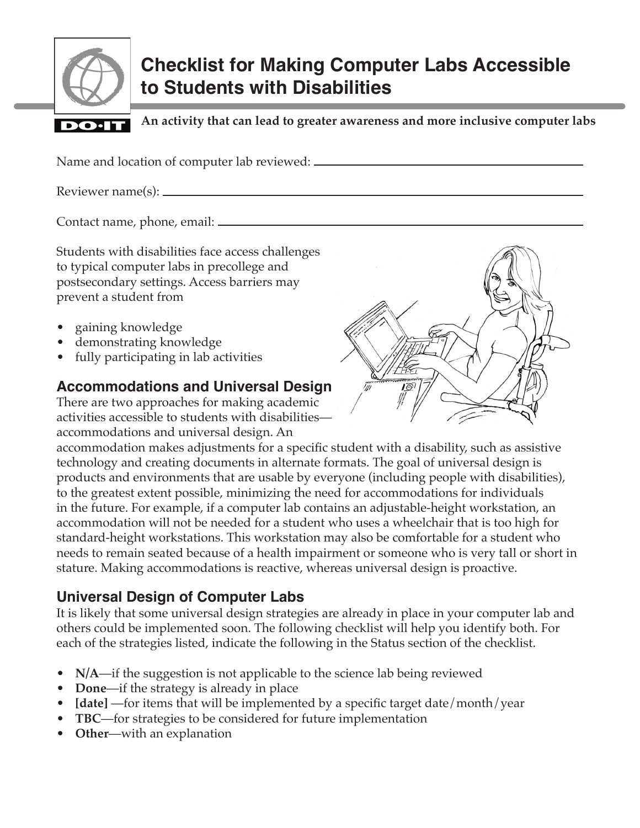

# **Checklist for Making Computer Labs Accessible to Students with Disabilities**

**An activity that can lead to greater awareness and more inclusive computer labs**DO-I

Name and location of computer lab reviewed:

Reviewer name(s):

Contact name, phone, email:

Students with disabilities face access challenges to typical computer labs in precollege and postsecondary settings. Access barriers may prevent a student from

- gaining knowledge
- demonstrating knowledge
- fully participating in lab activities

#### **Accommodations and Universal Design**

There are two approaches for making academic activities accessible to students with disabilities accommodations and universal design. An



accommodation makes adjustments for a specific student with a disability, such as assistive technology and creating documents in alternate formats. The goal of universal design is products and environments that are usable by everyone (including people with disabilities), to the greatest extent possible, minimizing the need for accommodations for individuals in the future. For example, if a computer lab contains an adjustable-height workstation, an accommodation will not be needed for a student who uses a wheelchair that is too high for standard-height workstations. This workstation may also be comfortable for a student who needs to remain seated because of a health impairment or someone who is very tall or short in stature. Making accommodations is reactive, whereas universal design is proactive.

## **Universal Design of Computer Labs**

It is likely that some universal design strategies are already in place in your computer lab and others could be implemented soon. The following checklist will help you identify both. For each of the strategies listed, indicate the following in the Status section of the checklist.

- **N/A**—if the suggestion is not applicable to the science lab being reviewed
- **Done**—if the strategy is already in place
- **[date]** —for items that will be implemented by a specific target date/month/year
- **TBC**—for strategies to be considered for future implementation
- **Other**—with an explanation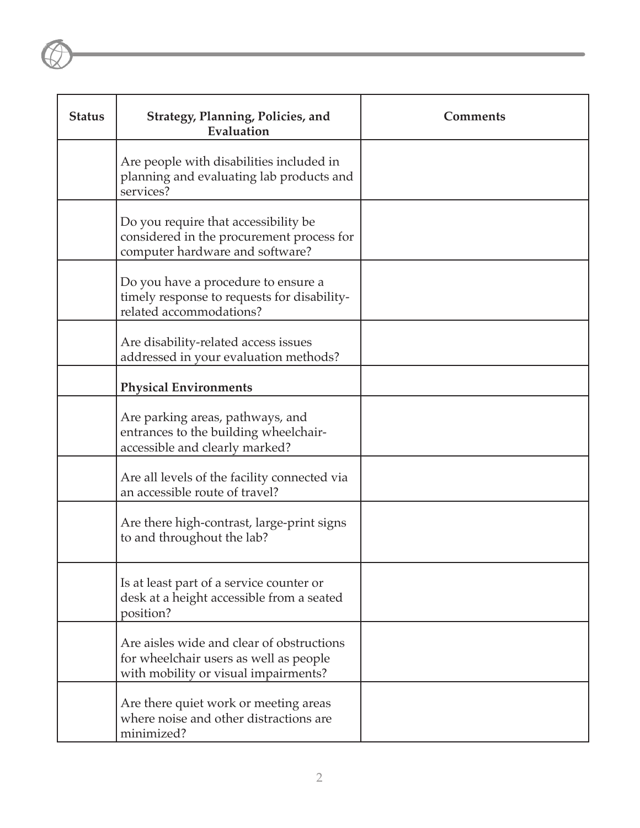| <b>Status</b> | Strategy, Planning, Policies, and<br>Evaluation                                                                             | <b>Comments</b> |
|---------------|-----------------------------------------------------------------------------------------------------------------------------|-----------------|
|               | Are people with disabilities included in<br>planning and evaluating lab products and<br>services?                           |                 |
|               | Do you require that accessibility be<br>considered in the procurement process for<br>computer hardware and software?        |                 |
|               | Do you have a procedure to ensure a<br>timely response to requests for disability-<br>related accommodations?               |                 |
|               | Are disability-related access issues<br>addressed in your evaluation methods?                                               |                 |
|               | <b>Physical Environments</b>                                                                                                |                 |
|               | Are parking areas, pathways, and<br>entrances to the building wheelchair-<br>accessible and clearly marked?                 |                 |
|               | Are all levels of the facility connected via<br>an accessible route of travel?                                              |                 |
|               | Are there high-contrast, large-print signs<br>to and throughout the lab?                                                    |                 |
|               | Is at least part of a service counter or<br>desk at a height accessible from a seated<br>position?                          |                 |
|               | Are aisles wide and clear of obstructions<br>for wheelchair users as well as people<br>with mobility or visual impairments? |                 |
|               | Are there quiet work or meeting areas<br>where noise and other distractions are<br>minimized?                               |                 |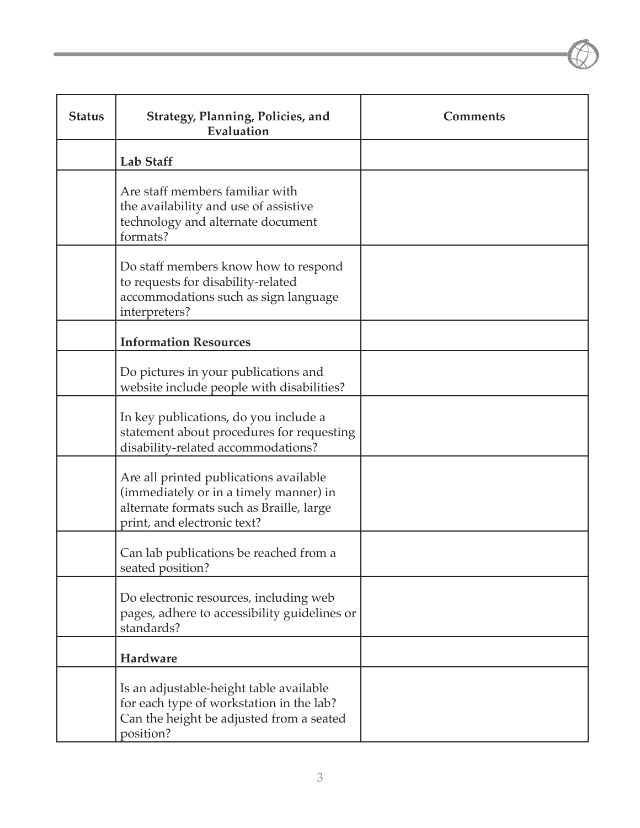| <b>Status</b> | <b>Strategy, Planning, Policies, and</b><br>Evaluation                                                                                                      | <b>Comments</b> |
|---------------|-------------------------------------------------------------------------------------------------------------------------------------------------------------|-----------------|
|               | <b>Lab Staff</b>                                                                                                                                            |                 |
|               | Are staff members familiar with<br>the availability and use of assistive<br>technology and alternate document<br>formats?                                   |                 |
|               | Do staff members know how to respond<br>to requests for disability-related<br>accommodations such as sign language<br>interpreters?                         |                 |
|               | <b>Information Resources</b>                                                                                                                                |                 |
|               | Do pictures in your publications and<br>website include people with disabilities?                                                                           |                 |
|               | In key publications, do you include a<br>statement about procedures for requesting<br>disability-related accommodations?                                    |                 |
|               | Are all printed publications available<br>(immediately or in a timely manner) in<br>alternate formats such as Braille, large<br>print, and electronic text? |                 |
|               | Can lab publications be reached from a<br>seated position?                                                                                                  |                 |
|               | Do electronic resources, including web<br>pages, adhere to accessibility guidelines or<br>standards?                                                        |                 |
|               | Hardware                                                                                                                                                    |                 |
|               | Is an adjustable-height table available<br>for each type of workstation in the lab?<br>Can the height be adjusted from a seated<br>position?                |                 |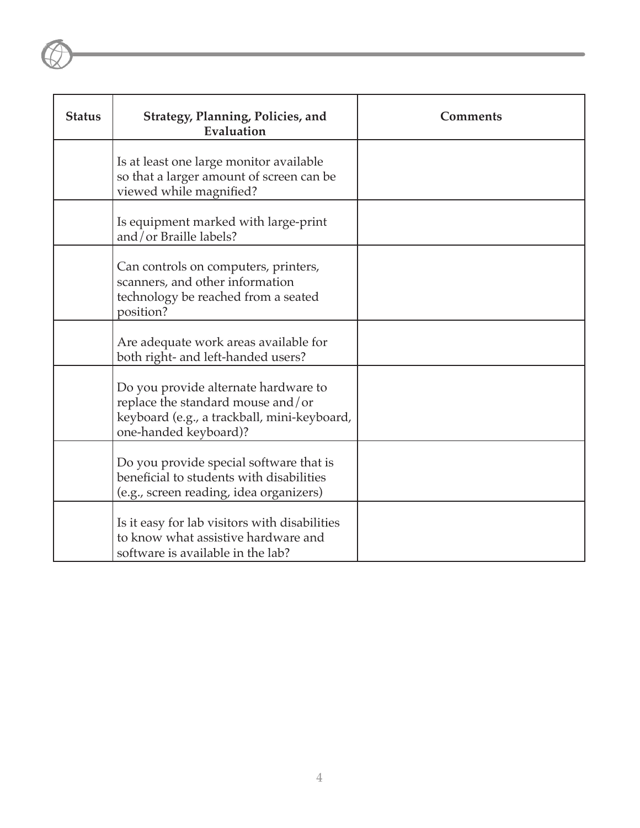| <b>Status</b> | Strategy, Planning, Policies, and<br>Evaluation                                                                                                   | <b>Comments</b> |
|---------------|---------------------------------------------------------------------------------------------------------------------------------------------------|-----------------|
|               | Is at least one large monitor available<br>so that a larger amount of screen can be<br>viewed while magnified?                                    |                 |
|               | Is equipment marked with large-print<br>and/or Braille labels?                                                                                    |                 |
|               | Can controls on computers, printers,<br>scanners, and other information<br>technology be reached from a seated<br>position?                       |                 |
|               | Are adequate work areas available for<br>both right- and left-handed users?                                                                       |                 |
|               | Do you provide alternate hardware to<br>replace the standard mouse and/or<br>keyboard (e.g., a trackball, mini-keyboard,<br>one-handed keyboard)? |                 |
|               | Do you provide special software that is<br>beneficial to students with disabilities<br>(e.g., screen reading, idea organizers)                    |                 |
|               | Is it easy for lab visitors with disabilities<br>to know what assistive hardware and<br>software is available in the lab?                         |                 |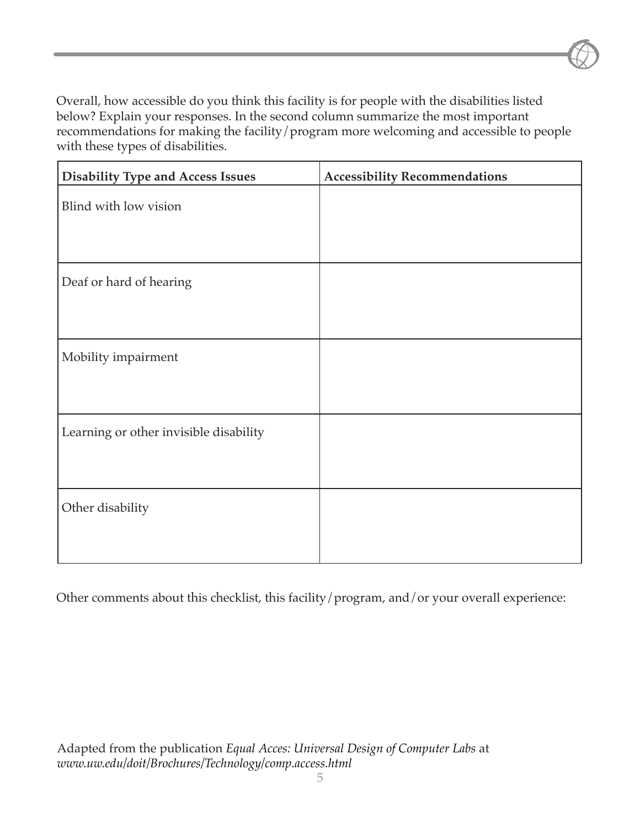Overall, how accessible do you think this facility is for people with the disabilities listed below? Explain your responses. In the second column summarize the most important recommendations for making the facility/program more welcoming and accessible to people with these types of disabilities.

| <b>Disability Type and Access Issues</b> | <b>Accessibility Recommendations</b> |
|------------------------------------------|--------------------------------------|
| Blind with low vision                    |                                      |
| Deaf or hard of hearing                  |                                      |
| Mobility impairment                      |                                      |
| Learning or other invisible disability   |                                      |
| Other disability                         |                                      |

Other comments about this checklist, this facility/program, and/or your overall experience: